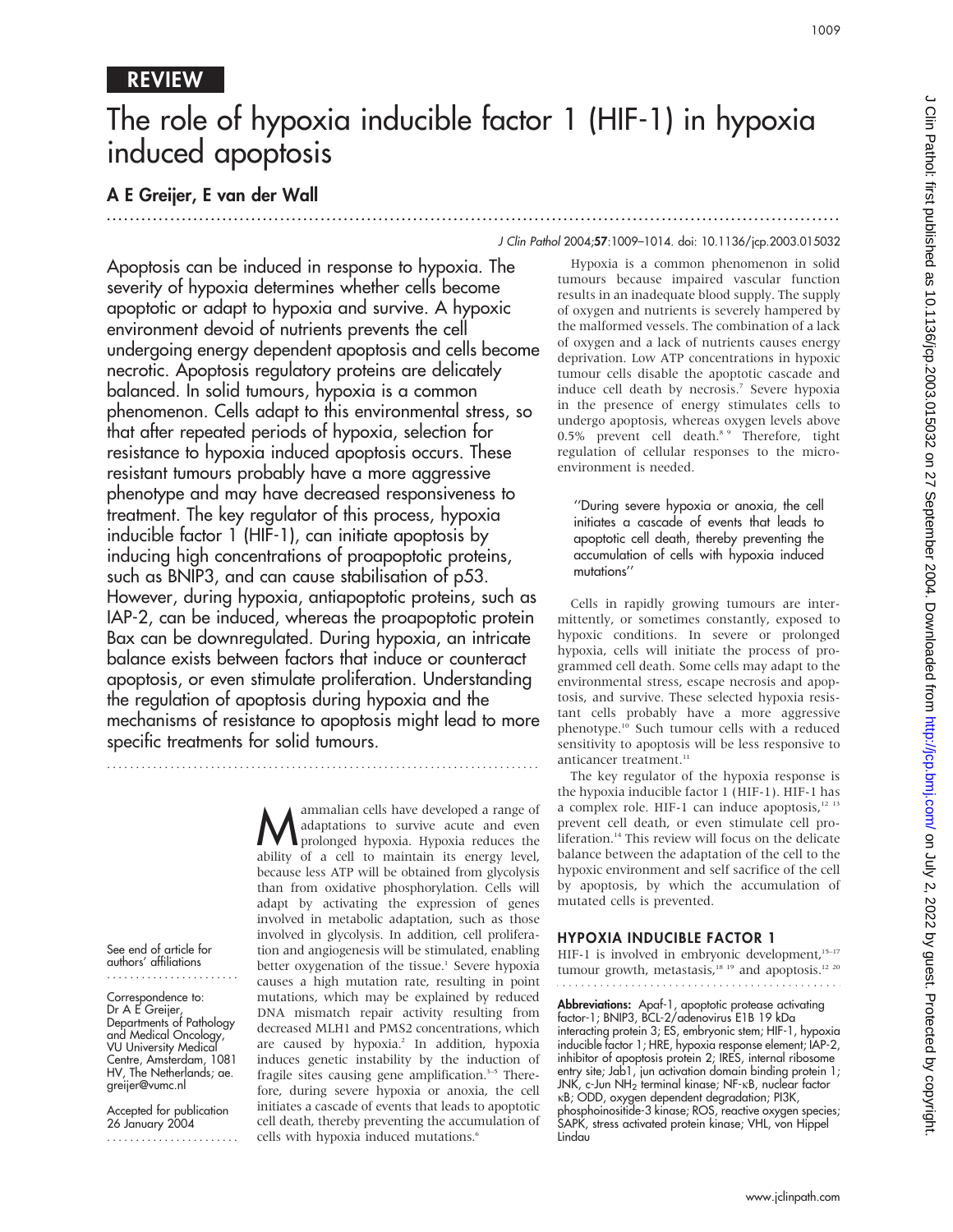# REVIEW

# The role of hypoxia inducible factor 1 (HIF-1) in hypoxia induced apoptosis

# A E Greijer, E van der Wall

Apoptosis can be induced in response to hypoxia. The severity of hypoxia determines whether cells become apoptotic or adapt to hypoxia and survive. A hypoxic environment devoid of nutrients prevents the cell undergoing energy dependent apoptosis and cells become necrotic. Apoptosis regulatory proteins are delicately balanced. In solid tumours, hypoxia is a common phenomenon. Cells adapt to this environmental stress, so that after repeated periods of hypoxia, selection for resistance to hypoxia induced apoptosis occurs. These resistant tumours probably have a more aggressive phenotype and may have decreased responsiveness to treatment. The key regulator of this process, hypoxia inducible factor 1 (HIF-1), can initiate apoptosis by inducing high concentrations of proapoptotic proteins, such as BNIP3, and can cause stabilisation of p53. However, during hypoxia, antiapoptotic proteins, such as IAP-2, can be induced, whereas the proapoptotic protein Bax can be downregulated. During hypoxia, an intricate balance exists between factors that induce or counteract apoptosis, or even stimulate proliferation. Understanding the regulation of apoptosis during hypoxia and the mechanisms of resistance to apoptosis might lead to more specific treatments for solid tumours.

...........................................................................

See end of article for authors' affiliations .......................

#### Correspondence to: Dr A E Greijer, Departments of Pathology and Medical Oncology, VU University Medical Centre, Amsterdam, 1081 HV, The Netherlands; ae. greijer@vumc.nl

Accepted for publication 26 January 2004 .......................

**M** ammalian cells have developed a range of<br>prolonged hypoxia. Hypoxia reduces the<br>phility of a cell to maintain its energy level adaptations to survive acute and even ability of a cell to maintain its energy level, because less ATP will be obtained from glycolysis than from oxidative phosphorylation. Cells will adapt by activating the expression of genes involved in metabolic adaptation, such as those involved in glycolysis. In addition, cell proliferation and angiogenesis will be stimulated, enabling better oxygenation of the tissue.<sup>1</sup> Severe hypoxia causes a high mutation rate, resulting in point mutations, which may be explained by reduced DNA mismatch repair activity resulting from decreased MLH1 and PMS2 concentrations, which are caused by hypoxia.<sup>2</sup> In addition, hypoxia induces genetic instability by the induction of fragile sites causing gene amplification.<sup>3-5</sup> Therefore, during severe hypoxia or anoxia, the cell initiates a cascade of events that leads to apoptotic cell death, thereby preventing the accumulation of cells with hypoxia induced mutations.<sup>6</sup>

#### J Clin Pathol 2004;57:1009–1014. doi: 10.1136/jcp.2003.015032

...............................................................................................................................

Hypoxia is a common phenomenon in solid tumours because impaired vascular function results in an inadequate blood supply. The supply of oxygen and nutrients is severely hampered by the malformed vessels. The combination of a lack of oxygen and a lack of nutrients causes energy deprivation. Low ATP concentrations in hypoxic tumour cells disable the apoptotic cascade and induce cell death by necrosis.<sup>7</sup> Severe hypoxia in the presence of energy stimulates cells to undergo apoptosis, whereas oxygen levels above 0.5% prevent cell death.<sup>8</sup> <sup>9</sup> Therefore, tight regulation of cellular responses to the microenvironment is needed.

''During severe hypoxia or anoxia, the cell initiates a cascade of events that leads to apoptotic cell death, thereby preventing the accumulation of cells with hypoxia induced mutations''

Cells in rapidly growing tumours are intermittently, or sometimes constantly, exposed to hypoxic conditions. In severe or prolonged hypoxia, cells will initiate the process of programmed cell death. Some cells may adapt to the environmental stress, escape necrosis and apoptosis, and survive. These selected hypoxia resistant cells probably have a more aggressive phenotype.10 Such tumour cells with a reduced sensitivity to apoptosis will be less responsive to anticancer treatment.<sup>11</sup>

The key regulator of the hypoxia response is the hypoxia inducible factor 1 (HIF-1). HIF-1 has a complex role. HIF-1 can induce apoptosis,<sup>12 13</sup> prevent cell death, or even stimulate cell proliferation.<sup>14</sup> This review will focus on the delicate balance between the adaptation of the cell to the hypoxic environment and self sacrifice of the cell by apoptosis, by which the accumulation of mutated cells is prevented.

### HYPOXIA INDUCIBLE FACTOR 1

HIF-1 is involved in embryonic development,<sup>15-17</sup> tumour growth, metastasis,<sup>18 19</sup> and apoptosis.<sup>12 20</sup> 

**Abbreviations:** Apaf-1, apoptotic protease activating factor-1; BNIP3, BCL-2/adenovirus E1B 19 kDa interacting protein 3; ES, embryonic stem; HIF-1, hypoxia inducible factor 1; HRE, hypoxia response element; IAP-2, inhibitor of apoptosis protein 2; IRES, internal ribosome entry site; Jab1, jun activation domain binding protein 1; JNK, c-Jun NH<sub>2</sub> terminal kinase; NF-KB, nuclear factor kB; ODD, oxygen dependent degradation; PI3K, phosphoinositide-3 kinase; ROS, reactive oxygen species; SAPK, stress activated protein kinase; VHL, von Hippel Lindau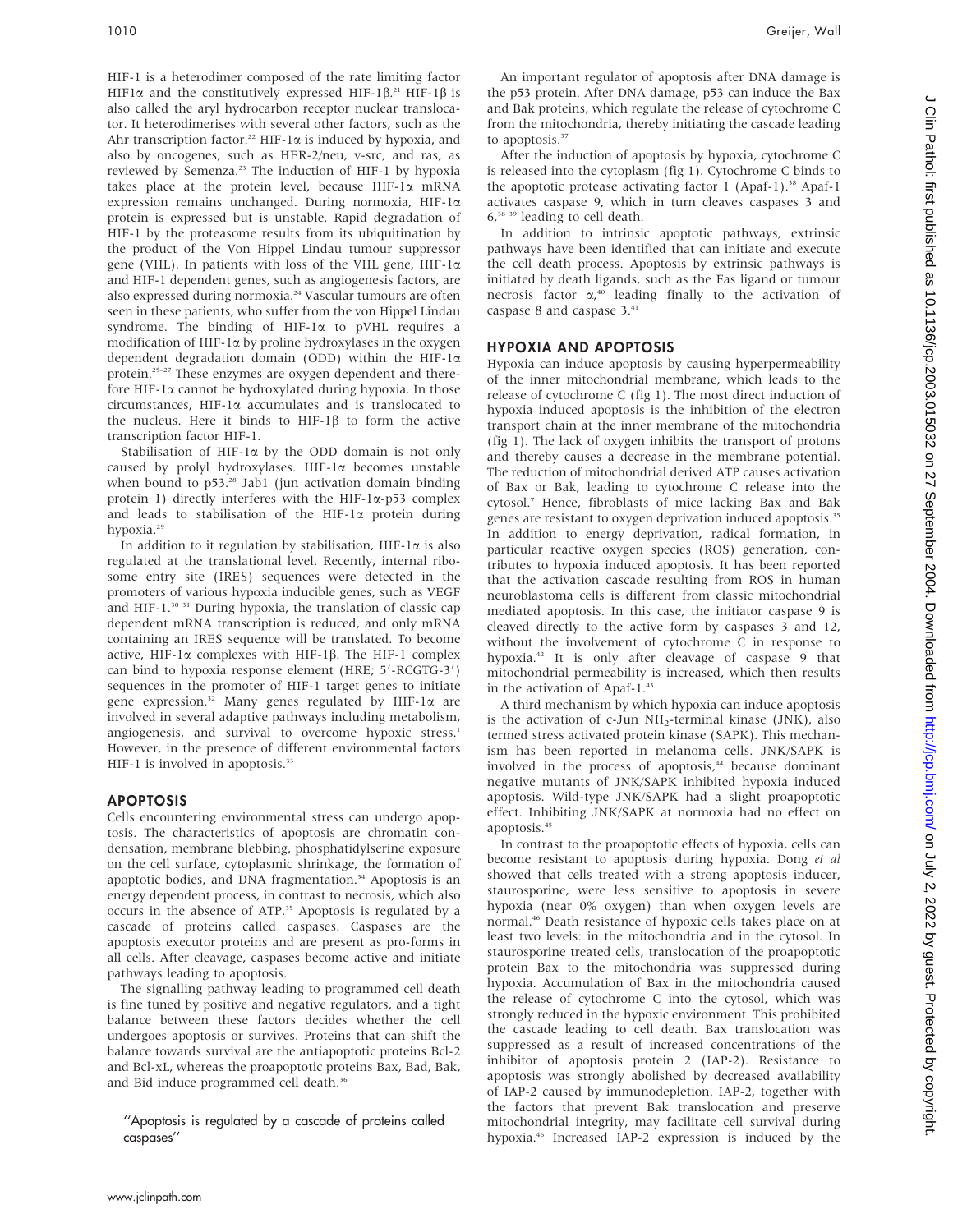HIF-1 is a heterodimer composed of the rate limiting factor HIF1 $\alpha$  and the constitutively expressed HIF-1 $\beta$ .<sup>21</sup> HIF-1 $\beta$  is also called the aryl hydrocarbon receptor nuclear translocator. It heterodimerises with several other factors, such as the Ahr transcription factor.<sup>22</sup> HIF-1 $\alpha$  is induced by hypoxia, and also by oncogenes, such as HER-2/neu, v-src, and ras, as reviewed by Semenza.23 The induction of HIF-1 by hypoxia takes place at the protein level, because HIF-1a mRNA expression remains unchanged. During normoxia, HIF-1a protein is expressed but is unstable. Rapid degradation of HIF-1 by the proteasome results from its ubiquitination by the product of the Von Hippel Lindau tumour suppressor gene (VHL). In patients with loss of the VHL gene, HIF-1a and HIF-1 dependent genes, such as angiogenesis factors, are also expressed during normoxia.<sup>24</sup> Vascular tumours are often seen in these patients, who suffer from the von Hippel Lindau syndrome. The binding of HIF-1 $\alpha$  to pVHL requires a modification of HIF-1a by proline hydroxylases in the oxygen dependent degradation domain (ODD) within the HIF-1a protein.25–27 These enzymes are oxygen dependent and therefore HIF-1a cannot be hydroxylated during hypoxia. In those circumstances,  $HIF-I\alpha$  accumulates and is translocated to the nucleus. Here it binds to HIF-1 $\beta$  to form the active transcription factor HIF-1.

Stabilisation of HIF-1 $\alpha$  by the ODD domain is not only caused by prolyl hydroxylases. HIF-1a becomes unstable when bound to  $p53.^{28}$  Jab1 (jun activation domain binding protein 1) directly interferes with the HIF-1a-p53 complex and leads to stabilisation of the HIF-1 $\alpha$  protein during hypoxia.<sup>29</sup>

In addition to it regulation by stabilisation,  $HIF-I\alpha$  is also regulated at the translational level. Recently, internal ribosome entry site (IRES) sequences were detected in the promoters of various hypoxia inducible genes, such as VEGF and HIF-1.<sup>30 31</sup> During hypoxia, the translation of classic cap dependent mRNA transcription is reduced, and only mRNA containing an IRES sequence will be translated. To become active, HIF-1 $\alpha$  complexes with HIF-1 $\beta$ . The HIF-1 complex can bind to hypoxia response element (HRE;  $5'$ -RCGTG-3') sequences in the promoter of HIF-1 target genes to initiate gene expression.<sup>32</sup> Many genes regulated by HIF-1 $\alpha$  are involved in several adaptive pathways including metabolism, angiogenesis, and survival to overcome hypoxic stress.<sup>1</sup> However, in the presence of different environmental factors HIF-1 is involved in apoptosis.<sup>33</sup>

### APOPTOSIS

Cells encountering environmental stress can undergo apoptosis. The characteristics of apoptosis are chromatin condensation, membrane blebbing, phosphatidylserine exposure on the cell surface, cytoplasmic shrinkage, the formation of apoptotic bodies, and DNA fragmentation.<sup>34</sup> Apoptosis is an energy dependent process, in contrast to necrosis, which also occurs in the absence of ATP.<sup>35</sup> Apoptosis is regulated by a cascade of proteins called caspases. Caspases are the apoptosis executor proteins and are present as pro-forms in all cells. After cleavage, caspases become active and initiate pathways leading to apoptosis.

The signalling pathway leading to programmed cell death is fine tuned by positive and negative regulators, and a tight balance between these factors decides whether the cell undergoes apoptosis or survives. Proteins that can shift the balance towards survival are the antiapoptotic proteins Bcl-2 and Bcl-xL, whereas the proapoptotic proteins Bax, Bad, Bak, and Bid induce programmed cell death.<sup>36</sup>

''Apoptosis is regulated by a cascade of proteins called caspases''

An important regulator of apoptosis after DNA damage is the p53 protein. After DNA damage, p53 can induce the Bax and Bak proteins, which regulate the release of cytochrome C from the mitochondria, thereby initiating the cascade leading to apoptosis.<sup>37</sup>

After the induction of apoptosis by hypoxia, cytochrome C is released into the cytoplasm (fig 1). Cytochrome C binds to the apoptotic protease activating factor 1 (Apaf-1).<sup>38</sup> Apaf-1 activates caspase 9, which in turn cleaves caspases 3 and 6,38 39 leading to cell death.

In addition to intrinsic apoptotic pathways, extrinsic pathways have been identified that can initiate and execute the cell death process. Apoptosis by extrinsic pathways is initiated by death ligands, such as the Fas ligand or tumour necrosis factor  $\alpha_r^{40}$  leading finally to the activation of caspase 8 and caspase 3.41

## HYPOXIA AND APOPTOSIS

Hypoxia can induce apoptosis by causing hyperpermeability of the inner mitochondrial membrane, which leads to the release of cytochrome C (fig 1). The most direct induction of hypoxia induced apoptosis is the inhibition of the electron transport chain at the inner membrane of the mitochondria (fig 1). The lack of oxygen inhibits the transport of protons and thereby causes a decrease in the membrane potential. The reduction of mitochondrial derived ATP causes activation of Bax or Bak, leading to cytochrome C release into the cytosol.7 Hence, fibroblasts of mice lacking Bax and Bak genes are resistant to oxygen deprivation induced apoptosis.<sup>35</sup> In addition to energy deprivation, radical formation, in particular reactive oxygen species (ROS) generation, contributes to hypoxia induced apoptosis. It has been reported that the activation cascade resulting from ROS in human neuroblastoma cells is different from classic mitochondrial mediated apoptosis. In this case, the initiator caspase 9 is cleaved directly to the active form by caspases 3 and 12, without the involvement of cytochrome C in response to hypoxia.42 It is only after cleavage of caspase 9 that mitochondrial permeability is increased, which then results in the activation of Apaf-1.43

A third mechanism by which hypoxia can induce apoptosis is the activation of c-Jun  $NH_2$ -terminal kinase (JNK), also termed stress activated protein kinase (SAPK). This mechanism has been reported in melanoma cells. JNK/SAPK is involved in the process of apoptosis,<sup>44</sup> because dominant negative mutants of JNK/SAPK inhibited hypoxia induced apoptosis. Wild-type JNK/SAPK had a slight proapoptotic effect. Inhibiting JNK/SAPK at normoxia had no effect on apoptosis.<sup>45</sup>

In contrast to the proapoptotic effects of hypoxia, cells can become resistant to apoptosis during hypoxia. Dong et al showed that cells treated with a strong apoptosis inducer, staurosporine, were less sensitive to apoptosis in severe hypoxia (near 0% oxygen) than when oxygen levels are normal.46 Death resistance of hypoxic cells takes place on at least two levels: in the mitochondria and in the cytosol. In staurosporine treated cells, translocation of the proapoptotic protein Bax to the mitochondria was suppressed during hypoxia. Accumulation of Bax in the mitochondria caused the release of cytochrome C into the cytosol, which was strongly reduced in the hypoxic environment. This prohibited the cascade leading to cell death. Bax translocation was suppressed as a result of increased concentrations of the inhibitor of apoptosis protein 2 (IAP-2). Resistance to apoptosis was strongly abolished by decreased availability of IAP-2 caused by immunodepletion. IAP-2, together with the factors that prevent Bak translocation and preserve mitochondrial integrity, may facilitate cell survival during hypoxia.46 Increased IAP-2 expression is induced by the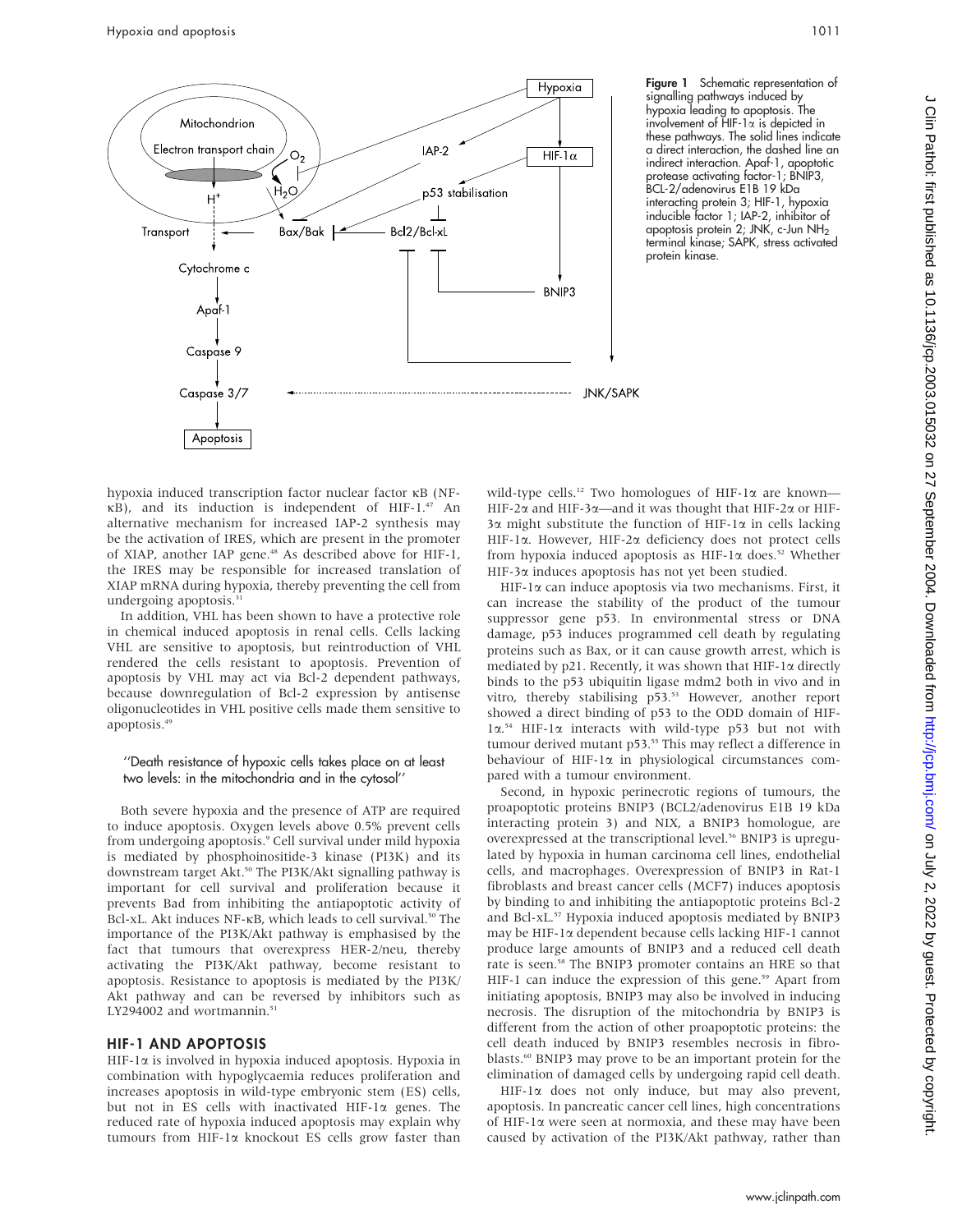

involvement of HIF-1a is depicted in these pathways. The solid lines indicate a direct interaction, the dashed line an indirect interaction. Apaf-1, apoptotic protease activating factor-1; BNIP3, BCL-2/adenovirus E1B 19 kDa interacting protein 3; HIF-1, hypoxia inducible factor 1; IAP-2, inhibitor of apoptosis protein 2; JNK, c-Jun NH2 terminal kinase; SAPK, stress activated protein kinase.

hypoxia induced transcription factor nuclear factor kB (NFkB), and its induction is independent of HIF-1.47 An alternative mechanism for increased IAP-2 synthesis may be the activation of IRES, which are present in the promoter of XIAP, another IAP gene.<sup>48</sup> As described above for HIF-1, the IRES may be responsible for increased translation of XIAP mRNA during hypoxia, thereby preventing the cell from undergoing apoptosis.<sup>3</sup>

In addition, VHL has been shown to have a protective role in chemical induced apoptosis in renal cells. Cells lacking VHL are sensitive to apoptosis, but reintroduction of VHL rendered the cells resistant to apoptosis. Prevention of apoptosis by VHL may act via Bcl-2 dependent pathways, because downregulation of Bcl-2 expression by antisense oligonucleotides in VHL positive cells made them sensitive to apoptosis.49

#### ''Death resistance of hypoxic cells takes place on at least two levels: in the mitochondria and in the cytosol''

Both severe hypoxia and the presence of ATP are required to induce apoptosis. Oxygen levels above 0.5% prevent cells from undergoing apoptosis.<sup>9</sup> Cell survival under mild hypoxia is mediated by phosphoinositide-3 kinase (PI3K) and its downstream target Akt.<sup>50</sup> The PI3K/Akt signalling pathway is important for cell survival and proliferation because it prevents Bad from inhibiting the antiapoptotic activity of Bcl-xL. Akt induces NF-KB, which leads to cell survival.<sup>50</sup> The importance of the PI3K/Akt pathway is emphasised by the fact that tumours that overexpress HER-2/neu, thereby activating the PI3K/Akt pathway, become resistant to apoptosis. Resistance to apoptosis is mediated by the PI3K/ Akt pathway and can be reversed by inhibitors such as LY294002 and wortmannin.<sup>51</sup>

#### HIF-1 AND APOPTOSIS

HIF-1a is involved in hypoxia induced apoptosis. Hypoxia in combination with hypoglycaemia reduces proliferation and increases apoptosis in wild-type embryonic stem (ES) cells, but not in ES cells with inactivated HIF-1 $\alpha$  genes. The reduced rate of hypoxia induced apoptosis may explain why tumours from HIF-1a knockout ES cells grow faster than

wild-type cells.<sup>12</sup> Two homologues of HIF-1 $\alpha$  are known— HIF-2 $\alpha$  and HIF-3 $\alpha$ —and it was thought that HIF-2 $\alpha$  or HIF- $3\alpha$  might substitute the function of HIF-1 $\alpha$  in cells lacking HIF-1a. However, HIF-2a deficiency does not protect cells from hypoxia induced apoptosis as HIF-1 $\alpha$  does.<sup>52</sup> Whether HIF-3a induces apoptosis has not yet been studied.

HIF-1a can induce apoptosis via two mechanisms. First, it can increase the stability of the product of the tumour suppressor gene p53. In environmental stress or DNA damage, p53 induces programmed cell death by regulating proteins such as Bax, or it can cause growth arrest, which is mediated by p21. Recently, it was shown that HIF-1x directly binds to the p53 ubiquitin ligase mdm2 both in vivo and in vitro, thereby stabilising p53.<sup>53</sup> However, another report showed a direct binding of p53 to the ODD domain of HIF-1a. <sup>54</sup> HIF-1a interacts with wild-type p53 but not with tumour derived mutant p53.<sup>55</sup> This may reflect a difference in behaviour of HIF-1 $\alpha$  in physiological circumstances compared with a tumour environment.

Second, in hypoxic perinecrotic regions of tumours, the proapoptotic proteins BNIP3 (BCL2/adenovirus E1B 19 kDa interacting protein 3) and NIX, a BNIP3 homologue, are overexpressed at the transcriptional level.<sup>56</sup> BNIP3 is upregulated by hypoxia in human carcinoma cell lines, endothelial cells, and macrophages. Overexpression of BNIP3 in Rat-1 fibroblasts and breast cancer cells (MCF7) induces apoptosis by binding to and inhibiting the antiapoptotic proteins Bcl-2 and Bcl-xL.57 Hypoxia induced apoptosis mediated by BNIP3 may be HIF-1a dependent because cells lacking HIF-1 cannot produce large amounts of BNIP3 and a reduced cell death rate is seen.<sup>58</sup> The BNIP3 promoter contains an HRE so that HIF-1 can induce the expression of this gene.<sup>59</sup> Apart from initiating apoptosis, BNIP3 may also be involved in inducing necrosis. The disruption of the mitochondria by BNIP3 is different from the action of other proapoptotic proteins: the cell death induced by BNIP3 resembles necrosis in fibroblasts.<sup>60</sup> BNIP3 may prove to be an important protein for the elimination of damaged cells by undergoing rapid cell death.

 $HIF-I\alpha$  does not only induce, but may also prevent, apoptosis. In pancreatic cancer cell lines, high concentrations of HIF-1a were seen at normoxia, and these may have been caused by activation of the PI3K/Akt pathway, rather than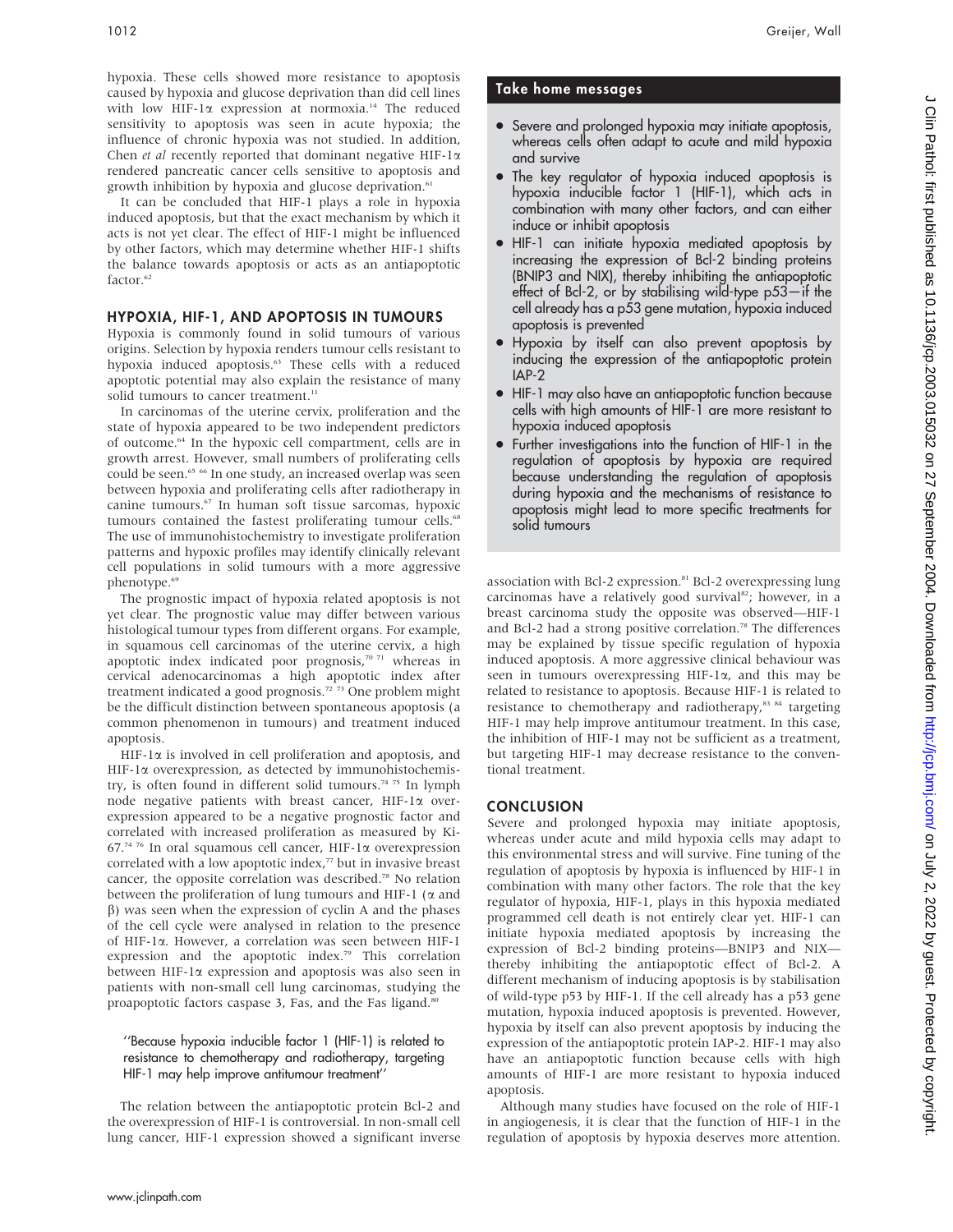hypoxia. These cells showed more resistance to apoptosis caused by hypoxia and glucose deprivation than did cell lines with low HIF-1 $\alpha$  expression at normoxia.<sup>14</sup> The reduced sensitivity to apoptosis was seen in acute hypoxia; the influence of chronic hypoxia was not studied. In addition, Chen et al recently reported that dominant negative HIF-1 $\alpha$ rendered pancreatic cancer cells sensitive to apoptosis and growth inhibition by hypoxia and glucose deprivation.<sup>61</sup>

It can be concluded that HIF-1 plays a role in hypoxia induced apoptosis, but that the exact mechanism by which it acts is not yet clear. The effect of HIF-1 might be influenced by other factors, which may determine whether HIF-1 shifts the balance towards apoptosis or acts as an antiapoptotic factor.<sup>62</sup>

### HYPOXIA, HIF-1, AND APOPTOSIS IN TUMOURS

Hypoxia is commonly found in solid tumours of various origins. Selection by hypoxia renders tumour cells resistant to hypoxia induced apoptosis.<sup>63</sup> These cells with a reduced apoptotic potential may also explain the resistance of many solid tumours to cancer treatment.<sup>11</sup>

In carcinomas of the uterine cervix, proliferation and the state of hypoxia appeared to be two independent predictors of outcome.64 In the hypoxic cell compartment, cells are in growth arrest. However, small numbers of proliferating cells could be seen.<sup>65</sup> <sup>66</sup> In one study, an increased overlap was seen between hypoxia and proliferating cells after radiotherapy in canine tumours.67 In human soft tissue sarcomas, hypoxic tumours contained the fastest proliferating tumour cells.<sup>68</sup> The use of immunohistochemistry to investigate proliferation patterns and hypoxic profiles may identify clinically relevant cell populations in solid tumours with a more aggressive phenotype.<sup>69</sup>

The prognostic impact of hypoxia related apoptosis is not yet clear. The prognostic value may differ between various histological tumour types from different organs. For example, in squamous cell carcinomas of the uterine cervix, a high apoptotic index indicated poor prognosis, $7071$  whereas in cervical adenocarcinomas a high apoptotic index after treatment indicated a good prognosis.<sup>72</sup> <sup>73</sup> One problem might be the difficult distinction between spontaneous apoptosis (a common phenomenon in tumours) and treatment induced apoptosis.

 $HIF-I\alpha$  is involved in cell proliferation and apoptosis, and  $HIF-I\alpha$  overexpression, as detected by immunohistochemistry, is often found in different solid tumours.<sup>74 75</sup> In lymph node negative patients with breast cancer, HIF-1a overexpression appeared to be a negative prognostic factor and correlated with increased proliferation as measured by Ki-67.74 76 In oral squamous cell cancer, HIF-1a overexpression correlated with a low apoptotic index,<sup>77</sup> but in invasive breast cancer, the opposite correlation was described.<sup>78</sup> No relation between the proliferation of lung tumours and HIF-1 ( $\alpha$  and  $\beta$ ) was seen when the expression of cyclin A and the phases of the cell cycle were analysed in relation to the presence of HIF-1a. However, a correlation was seen between HIF-1 expression and the apoptotic index.<sup>79</sup> This correlation between HIF-1 $\alpha$  expression and apoptosis was also seen in patients with non-small cell lung carcinomas, studying the proapoptotic factors caspase 3, Fas, and the Fas ligand.<sup>80</sup>

#### ''Because hypoxia inducible factor 1 (HIF-1) is related to resistance to chemotherapy and radiotherapy, targeting HIF-1 may help improve antitumour treatment''

The relation between the antiapoptotic protein Bcl-2 and the overexpression of HIF-1 is controversial. In non-small cell lung cancer, HIF-1 expression showed a significant inverse

## Take home messages

- Severe and prolonged hypoxia may initiate apoptosis, whereas cells often adapt to acute and mild hypoxia and survive
- . The key regulator of hypoxia induced apoptosis is hypoxia inducible factor 1 (HIF-1), which acts in combination with many other factors, and can either induce or inhibit apoptosis
- HIF-1 can initiate hypoxia mediated apoptosis by increasing the expression of Bcl-2 binding proteins (BNIP3 and NIX), thereby inhibiting the antiapoptotic effect of Bcl-2, or by stabilising wild-type p53—if the cell already has a p53 gene mutation, hypoxia induced apoptosis is prevented
- Hypoxia by itself can also prevent apoptosis by inducing the expression of the antiapoptotic protein IAP-2
- HIF-1 may also have an antiapoptotic function because cells with high amounts of HIF-1 are more resistant to hypoxia induced apoptosis
- Further investigations into the function of HIF-1 in the regulation of apoptosis by hypoxia are required because understanding the regulation of apoptosis during hypoxia and the mechanisms of resistance to apoptosis might lead to more specific treatments for solid tumours

association with Bcl-2 expression.<sup>81</sup> Bcl-2 overexpressing lung carcinomas have a relatively good survival<sup>82</sup>; however, in a breast carcinoma study the opposite was observed—HIF-1 and Bcl-2 had a strong positive correlation.<sup>78</sup> The differences may be explained by tissue specific regulation of hypoxia induced apoptosis. A more aggressive clinical behaviour was seen in tumours overexpressing HIF-1a, and this may be related to resistance to apoptosis. Because HIF-1 is related to resistance to chemotherapy and radiotherapy,<sup>83 84</sup> targeting HIF-1 may help improve antitumour treatment. In this case, the inhibition of HIF-1 may not be sufficient as a treatment, but targeting HIF-1 may decrease resistance to the conventional treatment.

### **CONCLUSION**

Severe and prolonged hypoxia may initiate apoptosis, whereas under acute and mild hypoxia cells may adapt to this environmental stress and will survive. Fine tuning of the regulation of apoptosis by hypoxia is influenced by HIF-1 in combination with many other factors. The role that the key regulator of hypoxia, HIF-1, plays in this hypoxia mediated programmed cell death is not entirely clear yet. HIF-1 can initiate hypoxia mediated apoptosis by increasing the expression of Bcl-2 binding proteins—BNIP3 and NIX thereby inhibiting the antiapoptotic effect of Bcl-2. A different mechanism of inducing apoptosis is by stabilisation of wild-type p53 by HIF-1. If the cell already has a p53 gene mutation, hypoxia induced apoptosis is prevented. However, hypoxia by itself can also prevent apoptosis by inducing the expression of the antiapoptotic protein IAP-2. HIF-1 may also have an antiapoptotic function because cells with high amounts of HIF-1 are more resistant to hypoxia induced apoptosis.

Although many studies have focused on the role of HIF-1 in angiogenesis, it is clear that the function of HIF-1 in the regulation of apoptosis by hypoxia deserves more attention.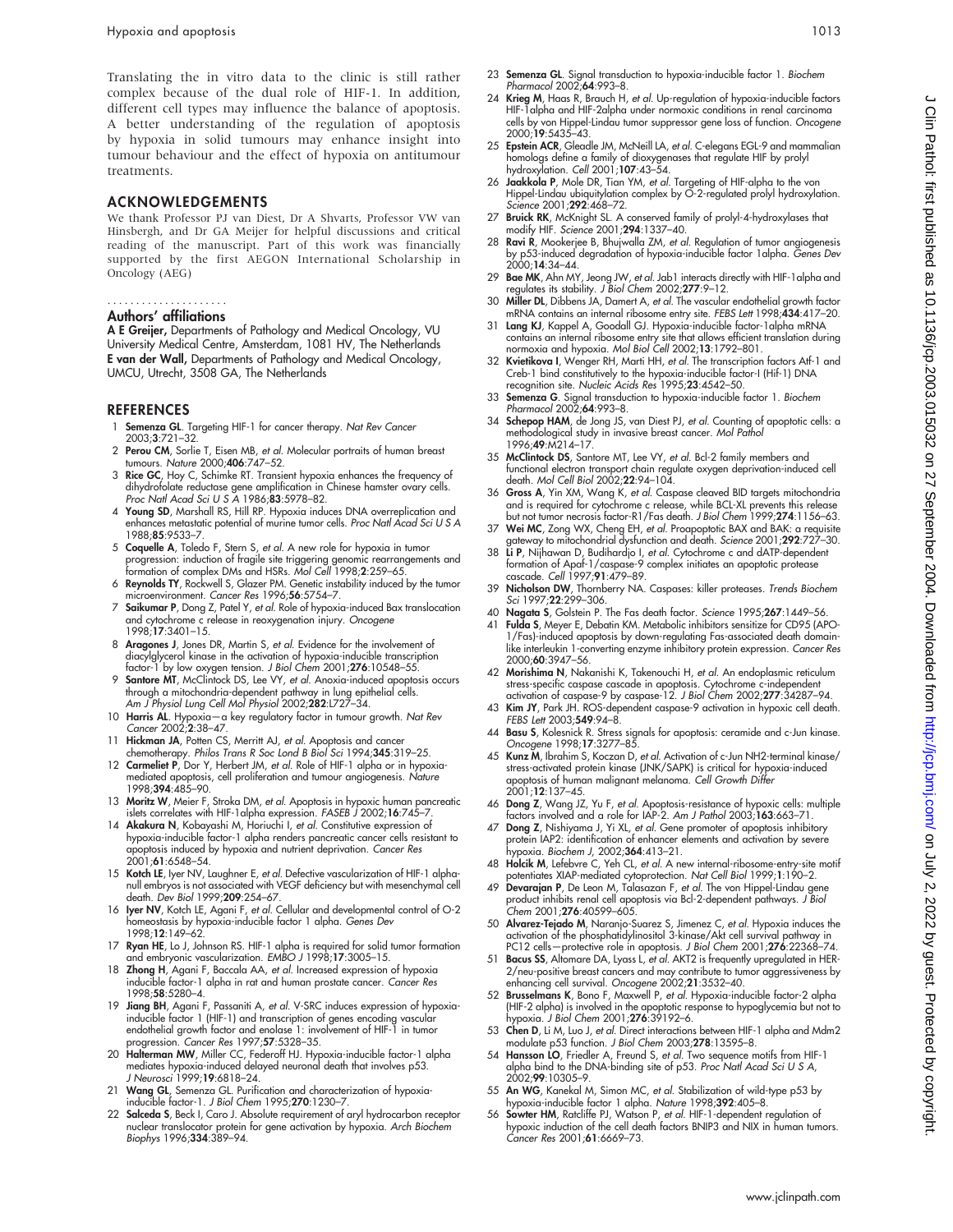Translating the in vitro data to the clinic is still rather complex because of the dual role of HIF-1. In addition, different cell types may influence the balance of apoptosis. A better understanding of the regulation of apoptosis by hypoxia in solid tumours may enhance insight into tumour behaviour and the effect of hypoxia on antitumour treatments.

#### ACKNOWLEDGEMENTS

We thank Professor PJ van Diest, Dr A Shvarts, Professor VW van Hinsbergh, and Dr GA Meijer for helpful discussions and critical reading of the manuscript. Part of this work was financially supported by the first AEGON International Scholarship in Oncology (AEG)

#### Authors' affiliations .....................

A E Greijer, Departments of Pathology and Medical Oncology, VU University Medical Centre, Amsterdam, 1081 HV, The Netherlands E van der Wall, Departments of Pathology and Medical Oncology, UMCU, Utrecht, 3508 GA, The Netherlands

#### REFERENCES

- Semenza GL. Targeting HIF-1 for cancer therapy. Nat Rev Cancer 2003;3:721–32.
- 2 Perou CM, Sorlie T, Eisen MB, et al. Molecular portraits of human breast tumours. Nature 2000;406:747–52.
- 3 Rice GC, Hoy C, Schimke RT. Transient hypoxia enhances the frequency of dihydrofolate reductase gene amplification in Chinese hamster ovary cells.<br>*Proc Natl Acad Sci U S A* 1986;**83**:5978–82.
- 4 Young SD, Marshall RS, Hill RP. Hypoxia induces DNA overreplication and enhances metastatic potential of murine tumor cells. Proc Natl Acad Sci U S A 1988;85:9533–7.
- 5 Coquelle A, Toledo F, Stern S, et al. A new role for hypoxia in tumor progression: induction of fragile site triggering genomic rearrangements and formation of complex DMs and HSRs. Mol Cell 1998;2:259–65.
- 6 Reynolds TY, Rockwell S, Glazer PM. Genetic instability induced by the tumor microenvironment. Cancer Res 1996;56:5754–7.
- 7 Saikumar P, Dong Z, Patel Y, et al. Role of hypoxia-induced Bax translocation and cytochrome c release in reoxygenation injury. Oncogene 1998;17:3401–15.
- 8 Aragones J, Jones DR, Martin S, et al. Evidence for the involvement of diacylglycerol kinase in the activation of hypoxia-inducible transcription factor-1 by low oxygen tension. J Biol Chem 2001;276:10548–55.
- 9 Santore MT, McClintock DS, Lee VY, et al. Anoxia-induced apoptosis occurs through a mitochondria-dependent pathway in lung epithelial cells.<br>Am J Physiol Lung Cell Mol Physiol 2002;**282**:L727–34.
- 10 Harris AL. Hypoxia-a key regulatory factor in tumour growth. Nat Rev Cancer 2002;2:38–47.
- 11 Hickman JA, Potten CS, Merritt AJ, et al. Apoptosis and cancer chemotherapy. Philos Trans R Soc Lond B Biol Sci 1994;345:319–25.
- 12 Carmeliet P, Dor Y, Herbert JM, et al. Role of HIF-1 alpha or in hypoxiamediated apoptosis, cell proliferation and tumour angiogenesis. Nature 1998;394:485–90.
- 13 Moritz W, Meier F, Stroka DM, et al. Apoptosis in hypoxic human pancreatic islets correlates with HIF-1alpha expression. FASEB J 2002;16:745-7
- 14 Akakura N, Kobayashi M, Horiuchi I, et al. Constitutive expression of hypoxia-inducible factor-1 alpha renders pancreatic cancer cells resistant to apoptosis induced by hypoxia and nutrient deprivation. Cancer Res 2001;61:6548–54.
- 15 Kotch LE, Iyer NV, Laughner E, et al. Defective vascularization of HIF-1 alpha null embryos is not associated with VEGF deficiency but with mesenchymal cell death. Dev Biol 1999;209:254–67.
- 16 Iyer NV, Kotch LE, Agani F, et al. Cellular and developmental control of O-2 homeostasis by hypoxia-inducible factor 1 alpha. Genes Dev 1998;12:149–62.
- 17 Ryan HE, Lo J, Johnson RS. HIF-1 alpha is required for solid tumor formation and embryonic vascularization. EMBO J 1998;17:3005–15.
- 18 Zhong H, Agani F, Baccala AA, et al. Increased expression of hypoxia inducible factor-1 alpha in rat and human prostate cancer. Cancer Res 1998;58:5280–4.
- 19 Jiang BH, Agani F, Passaniti A, et al. V-SRC induces expression of hypoxiainducible factor 1 (HIF-1) and transcription of genes encoding vascular endothelial growth factor and enolase 1: involvement of HIF-1 in tumor rogression. *Cancer Res* 1997;57:5328-35.
- 20 Halterman MW, Miller CC, Federoff HJ. Hypoxia-inducible factor-1 alpha mediates hypoxia-induced delayed neuronal death that involves p53. J Neurosci 1999;19:6818–24.
- 21 Wang GL, Semenza GL. Purification and characterization of hypoxia-inducible factor-1. J Biol Chem 1995;270:1230–7.
- 22 Salceda S, Beck I, Caro J. Absolute requirement of aryl hydrocarbon receptor nuclear translocator protein for gene activation by hypoxia. Arch Biochem Biophys 1996;334:389–94.
- 23 Semenza GL. Signal transduction to hypoxia-inducible factor 1. Biochem Pharmacol 2002;64:993-8.
- 24 Krieg M, Haas R, Brauch H, et al. Up-regulation of hypoxia-inducible factors HIF-1alpha and HIF-2alpha under normoxic conditions in renal carcinoma cells by von Hippel-Lindau tumor suppressor gene loss of function. Oncogene 2000;19:5435–43.
- 25 Epstein ACR, Gleadle JM, McNeill LA, et al. C-elegans EGL-9 and mammalian homologs define a family of dioxygenases that regulate HIF by prolyl hydroxylation. Cell 2001;107:43–54.
- 26 Jaakkola P, Mole DR, Tian YM, et al. Targeting of HIF-alpha to the von Hippel-Lindau ubiquitylation complex by O-2-regulated prolyl hydroxylation. Science 2001;292:468–72.
- 27 Bruick RK, McKnight SL. A conserved family of prolyl-4-hydroxylases that modify HIF. Science 2001;294:1337–40.
- 28 Ravi R, Mookerjee B, Bhujwalla ZM, et al. Regulation of tumor angiogenesis by p53-induced degradation of hypoxia-inducible factor 1alpha. Genes Dev 2000;14:34–44.
- 29 Bae MK, Ahn MY, Jeong JW, et al. Jab1 interacts directly with HIF-1alpha and regulates its stability. J Biol Chem 2002;277:9–12.
- 30 Miller DL, Dibbens JA, Damert A, *et al.* The vascular endothelial growth factor<br>mRNA contains an internal ribosome entry site. *FEBS Lett* 1998;**434**:417–20.<br>31 Lang KJ, Kappel A, Goodall GJ. Hypoxia-inducible factor-1
- contains an internal ribosome entry site that allows efficient translation during<br>normoxia and hypoxia. *Mol Biol Cell* 2002;**13**:1792–801.
- 32 Kvietikova I, Wenger RH, Marti HH, et al. The transcription factors Atf-1 and Creb-1 bind constitutively to the hypoxia-inducible factor-I (Hif-1) DNA recognition site. Nucleic Acids Res 1995;23:4542–50.
- 33 Semenza G. Signal transduction to hypoxia-inducible factor 1. Biochem Pharmacol 2002;64:993-8.
- 34 Schepop HAM, de Jong JS, van Diest PJ, et al. Counting of apoptotic cells: a methodological study in invasive breast cancer. Mol Pathol 1996;49:M214–17.
- 35 McClintock DS, Santore MT, Lee VY, *et al.* Bcl-2 family members and<br>functional electron transport chain regulate oxygen deprivation-induced cell<br>death. M*ol Cell Biol* 2002;**22**:94–104.
- 36 Gross A, Yin XM, Wang K, et al. Caspase cleaved BID targets mitochondria and is required for cytochrome c release, while BCL-XL prevents this release but not tumor necrosis factor-R1/Fas death. J Biol Chem 1999;274:1156–63.
- 37 Wei MC, Zong WX, Cheng EH, et al. Proapoptotic BAX and BAK: a requisite teway to mitochondrial dysfunction and death. *Science* 2001;**292**:727–30.
- 38 Li P, Nijhawan D, Budihardjo I, et al. Cytochrome c and dATP-dependent formation of Apaf-1/caspase-9 complex initiates an apoptotic protease cascade. Cell 1997;91:479–89.
- 39 Nicholson DW, Thornberry NA. Caspases: killer proteases. Trends Biochem Sci 1997;22:299-306.
- 40 **Nagata S**, Golstein P. The Fas death factor. Science 1995;267:1449–56.<br>41 **Fulda S**, Meyer F. Debatin KM, Metabolic inhibitors sensitize for CD95 (AP Fulda S, Meyer E, Debatin KM. Metabolic inhibitors sensitize for CD95 (APO-
- 1/Fas)-induced apoptosis by down-regulating Fas-associated death domainlike interleukin 1-converting enzyme inhibitory protein expression. Cancer Res 2000;60:3947–56.
- 42 Morishima N, Nakanishi K, Takenouchi H, et al. An endoplasmic reticulum stress-specific caspase cascade in apoptosis. Cytochrome c-independent activation of caspase-9 by caspase-12. J Biol Chem 2002;277:34287–94. 43 Kim JY, Park JH. ROS-dependent caspase-9 activation in hypoxic cell death.
- FEBS Lett 2003;549:94-8.
- 44 Basu S, Kolesnick R. Stress signals for apoptosis: ceramide and c-Jun kinase. Oncogene 1998;17:3277–85.
- 45 Kunz M, Ibrahim S, Koczan D, et al. Activation of c-Jun NH2-terminal kinase/ stress-activated protein kinase (JNK/SAPK) is critical for hypoxia-induced apoptosis of human malignant melanoma. Cell Growth Differ 2001;12:137–45.
- 46 Dong Z, Wang JZ, Yu F, et al. Apoptosis-resistance of hypoxic cells: multiple factors involved and a role for IAP-2. Am J Pathol 2003;163:663–71.
- 47 Dong Z, Nishiyama J, Yi XL, et al. Gene promoter of apoptosis inhibitory protein IAP2: identification of enhancer elements and activation by severe<br>hypoxia. *Biochem J,* 2002;**364**:413–21.
- 48 **Holcik M**, Lefebvre C, Yeh CL, *et al.* A new internal-ribosome-entry-site motif potentiates XIAP-mediated cytoprotection. *Nat Cell Biol* 1999;1:190–2.<br>49 **Devarajan P**, De Leon M, Talasazan F, *et al.* The von Hippel
- Chem 2001;276:40599–605.
- 50 Alvarez-Tejado M, Naranjo-Suarez S, Jimenez C, et al. Hypoxia induces the activation of the phosphatidylinositol 3-kinase/Akt cell survival pathway in PC12 cells-protective role in apoptosis. J Biol Chem 2001;276:22368-74.
- Bacus SS, Altomare DA, Lyass L, et al. AKT2 is frequently upregulated in HER-
- 2/neu-positive breast cancers and may contribute to tumor aggressiveness by<br>enhancing cell survival. Oncogene 2002;21:3532–40.<br>**Brusselmans K**, Bono F, Maxwell P, *et al.* Hypoxia-inducible factor-2 alpha<br>(HIF-2 alpha) is hypoxia. J Biol Chem 2001;276:39192–6.
- 53 Chen D, Li M, Luo J, et al. Direct interactions between HIF-1 alpha and Mdm2 modulate p53 function. J Biol Chem 2003;278:13595–8.
- 54 Hansson LO, Friedler A, Freund S, et al. Two sequence motifs from HIF-1 alpha bind to the DNA-binding site of p53. Proc Natl Acad Sci U S A, 2002;99:10305–9.
- 
- 55 An WG, Kanekal M, Simon MC, *et al*. Stabilization of wild-type p53 by<br>hypoxia-inducible factor 1 alpha. Nature 1998;**392**:405–8.<br>56 **Sowter HM**, Ratcliffe PJ, Watson P, *et al.* HIF-1-dependent regulation of<br>hypoxic in Cancer Res 2001;61:6669–73.